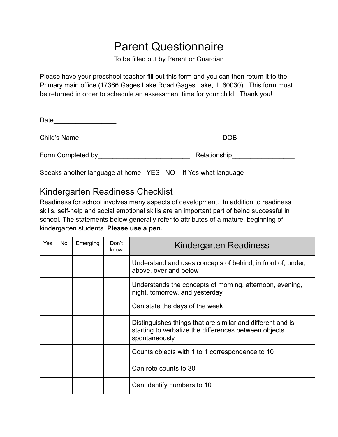## Parent Questionnaire

To be filled out by Parent or Guardian

Please have your preschool teacher fill out this form and you can then return it to the Primary main office (17366 Gages Lake Road Gages Lake, IL 60030). This form must be returned in order to schedule an assessment time for your child. Thank you!

| Date               |              |
|--------------------|--------------|
| Child's Name       | <b>DOB</b>   |
| Form Completed by_ | Relationship |

Speaks another language at home YES NO If Yes what language

## Kindergarten Readiness Checklist

Readiness for school involves many aspects of development. In addition to readiness skills, self-help and social emotional skills are an important part of being successful in school. The statements below generally refer to attributes of a mature, beginning of kindergarten students. **Please use a pen.**

| Yes | No. | Emerging | Don't<br>know | Kindergarten Readiness                                                                                                               |
|-----|-----|----------|---------------|--------------------------------------------------------------------------------------------------------------------------------------|
|     |     |          |               | Understand and uses concepts of behind, in front of, under,<br>above, over and below                                                 |
|     |     |          |               | Understands the concepts of morning, afternoon, evening,<br>night, tomorrow, and yesterday                                           |
|     |     |          |               | Can state the days of the week                                                                                                       |
|     |     |          |               | Distinguishes things that are similar and different and is<br>starting to verbalize the differences between objects<br>spontaneously |
|     |     |          |               | Counts objects with 1 to 1 correspondence to 10                                                                                      |
|     |     |          |               | Can rote counts to 30                                                                                                                |
|     |     |          |               | Can Identify numbers to 10                                                                                                           |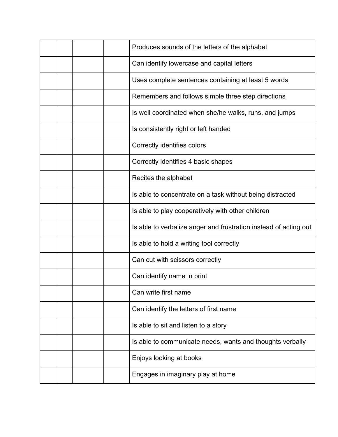|  |  | Produces sounds of the letters of the alphabet                   |
|--|--|------------------------------------------------------------------|
|  |  | Can identify lowercase and capital letters                       |
|  |  | Uses complete sentences containing at least 5 words              |
|  |  | Remembers and follows simple three step directions               |
|  |  | Is well coordinated when she/he walks, runs, and jumps           |
|  |  | Is consistently right or left handed                             |
|  |  | Correctly identifies colors                                      |
|  |  | Correctly identifies 4 basic shapes                              |
|  |  | Recites the alphabet                                             |
|  |  | Is able to concentrate on a task without being distracted        |
|  |  | Is able to play cooperatively with other children                |
|  |  | Is able to verbalize anger and frustration instead of acting out |
|  |  | Is able to hold a writing tool correctly                         |
|  |  | Can cut with scissors correctly                                  |
|  |  | Can identify name in print                                       |
|  |  | Can write first name                                             |
|  |  | Can identify the letters of first name                           |
|  |  | Is able to sit and listen to a story                             |
|  |  | Is able to communicate needs, wants and thoughts verbally        |
|  |  | Enjoys looking at books                                          |
|  |  | Engages in imaginary play at home                                |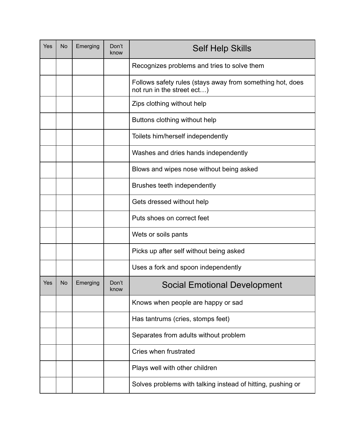| Yes | <b>No</b> | Emerging | Don't<br>know | <b>Self Help Skills</b>                                                                 |
|-----|-----------|----------|---------------|-----------------------------------------------------------------------------------------|
|     |           |          |               | Recognizes problems and tries to solve them                                             |
|     |           |          |               | Follows safety rules (stays away from something hot, does<br>not run in the street ect) |
|     |           |          |               | Zips clothing without help                                                              |
|     |           |          |               | Buttons clothing without help                                                           |
|     |           |          |               | Toilets him/herself independently                                                       |
|     |           |          |               | Washes and dries hands independently                                                    |
|     |           |          |               | Blows and wipes nose without being asked                                                |
|     |           |          |               | Brushes teeth independently                                                             |
|     |           |          |               | Gets dressed without help                                                               |
|     |           |          |               | Puts shoes on correct feet                                                              |
|     |           |          |               | Wets or soils pants                                                                     |
|     |           |          |               | Picks up after self without being asked                                                 |
|     |           |          |               | Uses a fork and spoon independently                                                     |
| Yes | No        | Emerging | Don't<br>know | <b>Social Emotional Development</b>                                                     |
|     |           |          |               | Knows when people are happy or sad                                                      |
|     |           |          |               | Has tantrums (cries, stomps feet)                                                       |
|     |           |          |               | Separates from adults without problem                                                   |
|     |           |          |               | Cries when frustrated                                                                   |
|     |           |          |               | Plays well with other children                                                          |
|     |           |          |               | Solves problems with talking instead of hitting, pushing or                             |